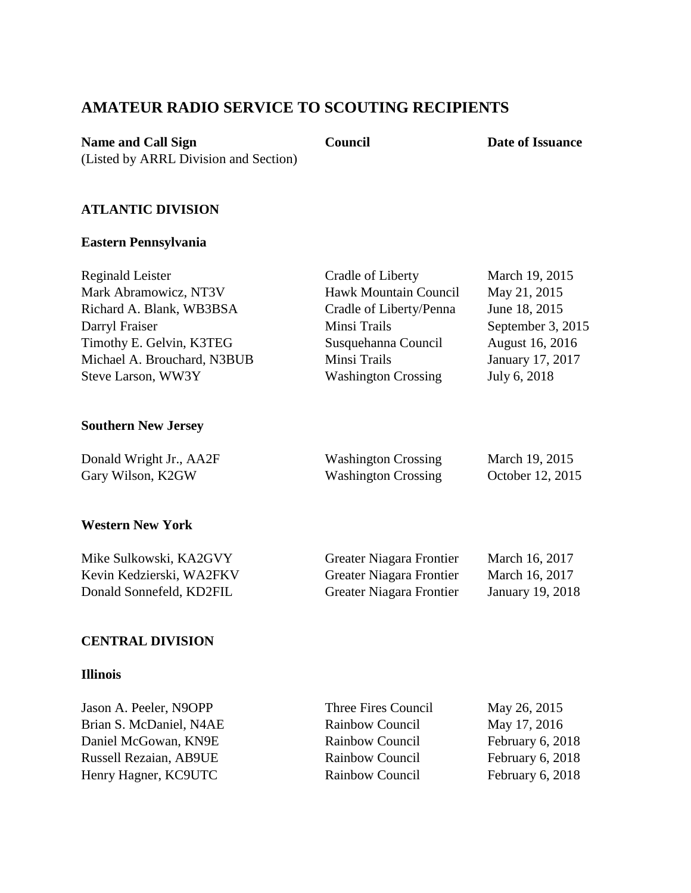# **AMATEUR RADIO SERVICE TO SCOUTING RECIPIENTS**

**Name and Call Sign** 

**Council Date of Issuance** 

## **ATLANTIC DIVISION**

(Listed by ARRL Division and Section)

### **Eastern Pennsylvania**

| Reginald Leister            | Cradle of Liberty          | March 19, 2015    |
|-----------------------------|----------------------------|-------------------|
| Mark Abramowicz, NT3V       | Hawk Mountain Council      | May 21, 2015      |
| Richard A. Blank, WB3BSA    | Cradle of Liberty/Penna    | June 18, 2015     |
| Darryl Fraiser              | Minsi Trails               | September 3, 2015 |
| Timothy E. Gelvin, K3TEG    | Susquehanna Council        | August 16, 2016   |
| Michael A. Brouchard, N3BUB | Minsi Trails               | January 17, 2017  |
| Steve Larson, WW3Y          | <b>Washington Crossing</b> | July 6, 2018      |
|                             |                            |                   |
|                             |                            |                   |

## **Southern New Jersey**

| Donald Wright Jr., AA2F | <b>Washington Crossing</b> | March 19, 2015   |
|-------------------------|----------------------------|------------------|
| Gary Wilson, K2GW       | <b>Washington Crossing</b> | October 12, 2015 |

### **Western New York**

| Mike Sulkowski, KA2GVY   | <b>Greater Niagara Frontier</b> | March 16, 2017   |
|--------------------------|---------------------------------|------------------|
| Kevin Kedzierski, WA2FKV | Greater Niagara Frontier        | March 16, 2017   |
| Donald Sonnefeld, KD2FIL | Greater Niagara Frontier        | January 19, 2018 |

### **CENTRAL DIVISION**

### **Illinois**

| Jason A. Peeler, N9OPP        | Three Fires Council | May 26, 2015     |
|-------------------------------|---------------------|------------------|
| Brian S. McDaniel, N4AE       | Rainbow Council     | May 17, 2016     |
| Daniel McGowan, KN9E          | Rainbow Council     | February 6, 2018 |
| <b>Russell Rezaian, AB9UE</b> | Rainbow Council     | February 6, 2018 |
| Henry Hagner, KC9UTC          | Rainbow Council     | February 6, 2018 |
|                               |                     |                  |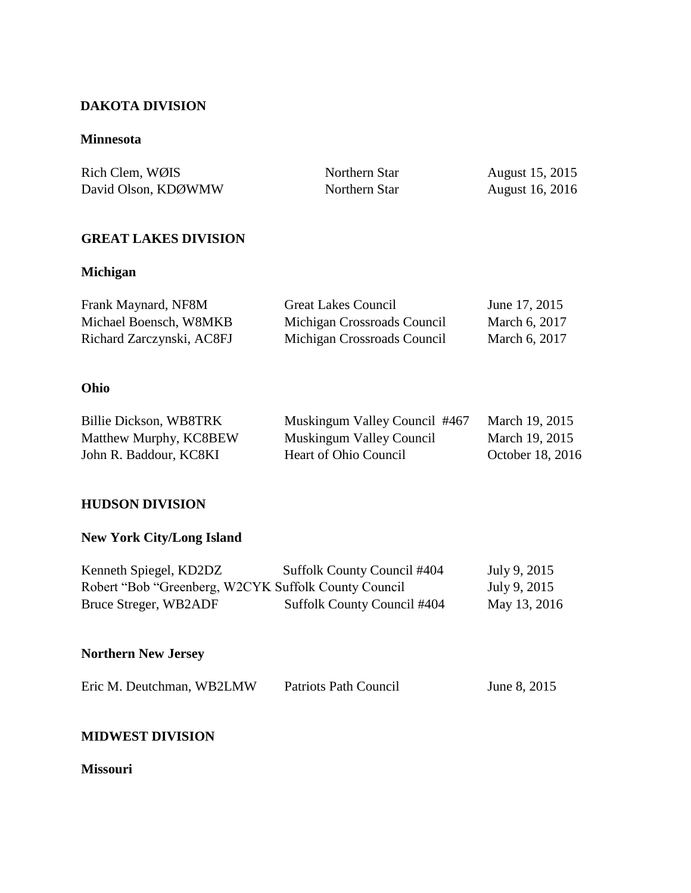## **DAKOTA DIVISION**

### **Minnesota**

| Rich Clem, WØIS     | Northern Star | August 15, 2015        |
|---------------------|---------------|------------------------|
| David Olson, KDØWMW | Northern Star | <b>August 16, 2016</b> |

## **GREAT LAKES DIVISION**

## **Michigan**

| Frank Maynard, NF8M       | <b>Great Lakes Council</b>  | June 17, 2015 |
|---------------------------|-----------------------------|---------------|
| Michael Boensch, W8MKB    | Michigan Crossroads Council | March 6, 2017 |
| Richard Zarczynski, AC8FJ | Michigan Crossroads Council | March 6, 2017 |

# **Ohio**

| Billie Dickson, WB8TRK | Muskingum Valley Council #467 | March 19, 2015   |
|------------------------|-------------------------------|------------------|
| Matthew Murphy, KC8BEW | Muskingum Valley Council      | March 19, 2015   |
| John R. Baddour, KC8KI | Heart of Ohio Council         | October 18, 2016 |

## **HUDSON DIVISION**

# **New York City/Long Island**

| Kenneth Spiegel, KD2DZ                               | Suffolk County Council #404 | July 9, 2015 |
|------------------------------------------------------|-----------------------------|--------------|
| Robert "Bob "Greenberg, W2CYK Suffolk County Council |                             | July 9, 2015 |
| Bruce Streger, WB2ADF                                | Suffolk County Council #404 | May 13, 2016 |

# **Northern New Jersey**

|  | Eric M. Deutchman, WB2LMW |  | Patriots Path Council | June 8, 2015 |
|--|---------------------------|--|-----------------------|--------------|
|--|---------------------------|--|-----------------------|--------------|

### **MIDWEST DIVISION**

## **Missouri**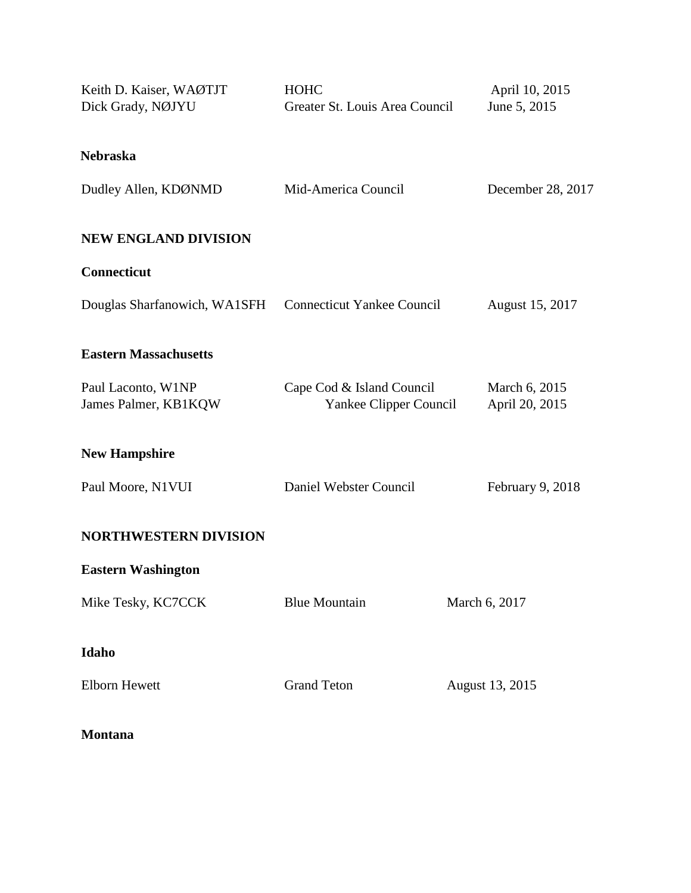| Keith D. Kaiser, WAØTJT<br>Dick Grady, NØJYU            | <b>HOHC</b><br>Greater St. Louis Area Council       | April 10, 2015<br>June 5, 2015  |
|---------------------------------------------------------|-----------------------------------------------------|---------------------------------|
| <b>Nebraska</b>                                         |                                                     |                                 |
| Dudley Allen, KDØNMD                                    | Mid-America Council                                 | December 28, 2017               |
| <b>NEW ENGLAND DIVISION</b>                             |                                                     |                                 |
| <b>Connecticut</b>                                      |                                                     |                                 |
| Douglas Sharfanowich, WA1SFH Connecticut Yankee Council |                                                     | August 15, 2017                 |
| <b>Eastern Massachusetts</b>                            |                                                     |                                 |
| Paul Laconto, W1NP<br>James Palmer, KB1KQW              | Cape Cod & Island Council<br>Yankee Clipper Council | March 6, 2015<br>April 20, 2015 |
| <b>New Hampshire</b>                                    |                                                     |                                 |
| Paul Moore, N1VUI                                       | Daniel Webster Council                              | February 9, 2018                |
| <b>NORTHWESTERN DIVISION</b>                            |                                                     |                                 |
| <b>Eastern Washington</b>                               |                                                     |                                 |
| Mike Tesky, KC7CCK                                      | <b>Blue Mountain</b>                                | March 6, 2017                   |
| Idaho                                                   |                                                     |                                 |
| <b>Elborn Hewett</b>                                    | <b>Grand Teton</b>                                  | August 13, 2015                 |
| <b>Montana</b>                                          |                                                     |                                 |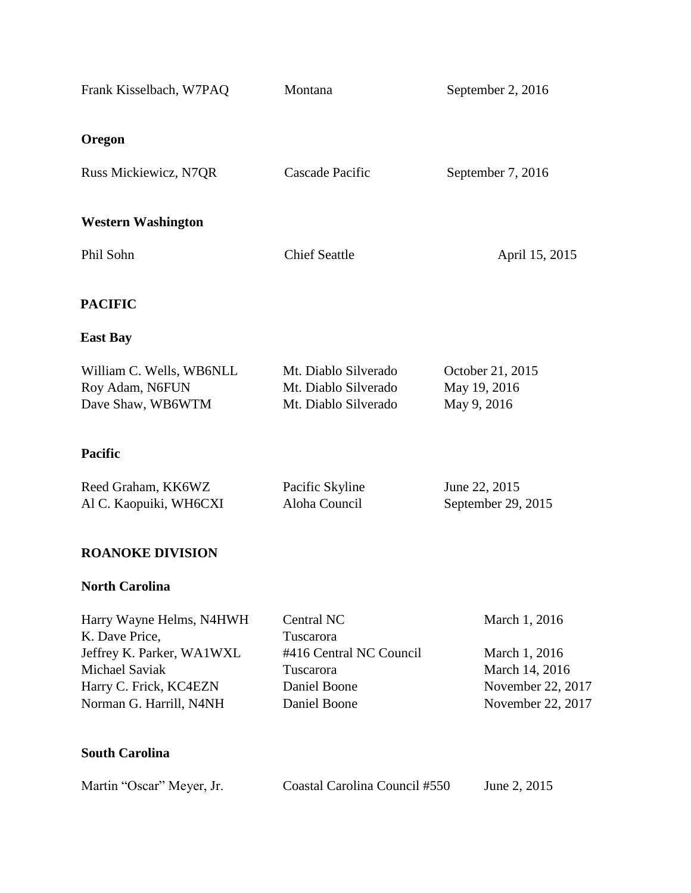| Frank Kisselbach, W7PAQ                     | Montana                              | September 2, 2016  |
|---------------------------------------------|--------------------------------------|--------------------|
|                                             |                                      |                    |
| Oregon                                      |                                      |                    |
| Russ Mickiewicz, N7QR                       | Cascade Pacific                      | September 7, 2016  |
|                                             |                                      |                    |
| <b>Western Washington</b>                   |                                      |                    |
| Phil Sohn                                   | <b>Chief Seattle</b>                 | April 15, 2015     |
|                                             |                                      |                    |
| <b>PACIFIC</b>                              |                                      |                    |
| <b>East Bay</b>                             |                                      |                    |
| William C. Wells, WB6NLL                    | Mt. Diablo Silverado                 | October 21, 2015   |
| Roy Adam, N6FUN                             | Mt. Diablo Silverado                 | May 19, 2016       |
| Dave Shaw, WB6WTM                           | Mt. Diablo Silverado                 | May 9, 2016        |
| <b>Pacific</b>                              |                                      |                    |
| Reed Graham, KK6WZ                          | Pacific Skyline                      | June 22, 2015      |
| Al C. Kaopuiki, WH6CXI                      | Aloha Council                        | September 29, 2015 |
| <b>ROANOKE DIVISION</b>                     |                                      |                    |
| <b>North Carolina</b>                       |                                      |                    |
| Harry Wayne Helms, N4HWH                    | Central NC                           | March 1, 2016      |
| K. Dave Price,<br>Jeffrey K. Parker, WA1WXL | Tuscarora<br>#416 Central NC Council | March 1, 2016      |
| <b>Michael Saviak</b>                       | Tuscarora                            | March 14, 2016     |
| Harry C. Frick, KC4EZN                      | Daniel Boone                         | November 22, 2017  |
| Norman G. Harrill, N4NH                     | Daniel Boone                         | November 22, 2017  |
| <b>South Carolina</b>                       |                                      |                    |
| Martin "Oscar" Meyer, Jr.                   | Coastal Carolina Council #550        | June 2, 2015       |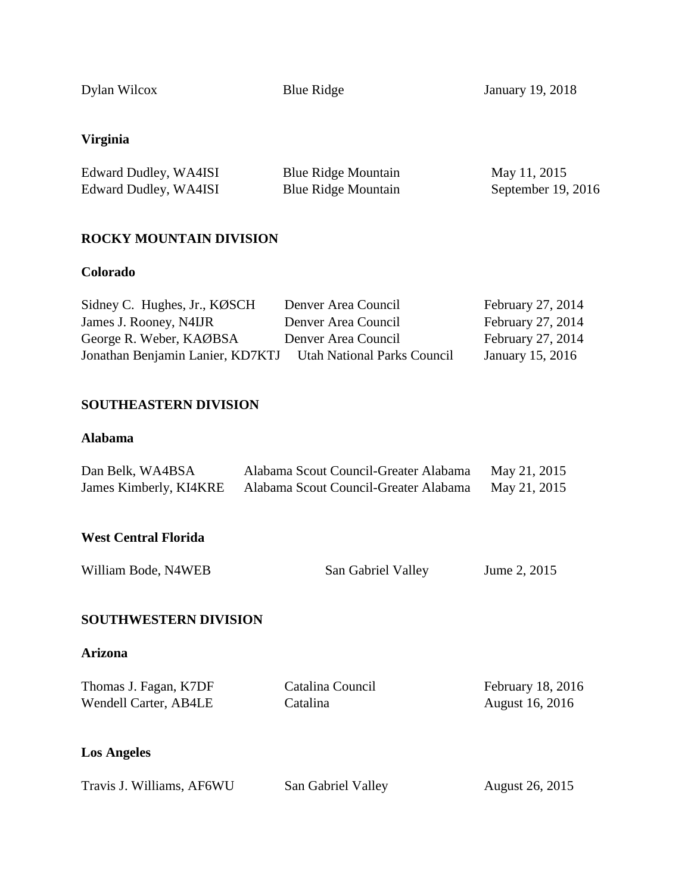Dylan Wilcox

Blue Ridge January 19, 2018

# **Virginia**

| Edward Dudley, WA4ISI | <b>Blue Ridge Mountain</b> | May 11, 2015       |
|-----------------------|----------------------------|--------------------|
| Edward Dudley, WA4ISI | <b>Blue Ridge Mountain</b> | September 19, 2016 |

## **ROCKY MOUNTAIN DIVISION**

### **Colorado**

| Sidney C. Hughes, Jr., KØSCH     | Denver Area Council                | February 27, 2014 |
|----------------------------------|------------------------------------|-------------------|
| James J. Rooney, N4IJR           | Denver Area Council                | February 27, 2014 |
| George R. Weber, KAØBSA          | Denver Area Council                | February 27, 2014 |
| Jonathan Benjamin Lanier, KD7KTJ | <b>Utah National Parks Council</b> | January 15, 2016  |

## **SOUTHEASTERN DIVISION**

### **Alabama**

| Dan Belk, WA4BSA       | Alabama Scout Council-Greater Alabama | May 21, 2015 |
|------------------------|---------------------------------------|--------------|
| James Kimberly, KI4KRE | Alabama Scout Council-Greater Alabama | May 21, 2015 |

### **West Central Florida**

| William Bode, N4WEB | San Gabriel Valley | Jume 2, 2015 |
|---------------------|--------------------|--------------|
|---------------------|--------------------|--------------|

## **SOUTHWESTERN DIVISION**

## **Arizona**

| Thomas J. Fagan, K7DF | Catalina Council | February 18, 2016      |
|-----------------------|------------------|------------------------|
| Wendell Carter, AB4LE | Catalina         | <b>August 16, 2016</b> |

# **Los Angeles**

| Travis J. Williams, AF6WU | San Gabriel Valley | August 26, 2015 |
|---------------------------|--------------------|-----------------|
|                           |                    |                 |